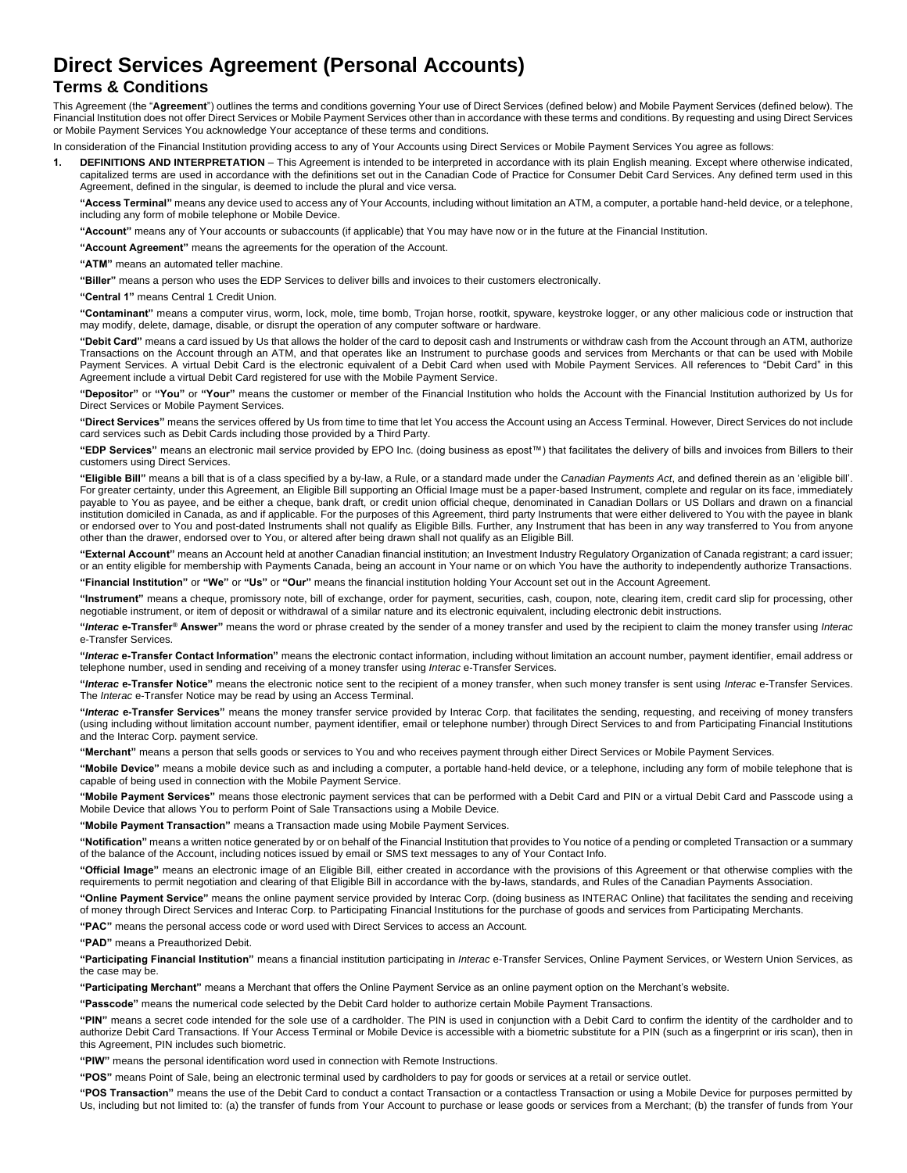# **Direct Services Agreement (Personal Accounts)**

## **Terms & Conditions**

This Agreement (the "**Agreement**") outlines the terms and conditions governing Your use of Direct Services (defined below) and Mobile Payment Services (defined below). The Financial Institution does not offer Direct Services or Mobile Payment Services other than in accordance with these terms and conditions. By requesting and using Direct Services or Mobile Payment Services You acknowledge Your acceptance of these terms and conditions.

In consideration of the Financial Institution providing access to any of Your Accounts using Direct Services or Mobile Payment Services You agree as follows:

**1. DEFINITIONS AND INTERPRETATION** – This Agreement is intended to be interpreted in accordance with its plain English meaning. Except where otherwise indicated, capitalized terms are used in accordance with the definitions set out in the Canadian Code of Practice for Consumer Debit Card Services. Any defined term used in this Agreement, defined in the singular, is deemed to include the plural and vice versa.

**"Access Terminal"** means any device used to access any of Your Accounts, including without limitation an ATM, a computer, a portable hand-held device, or a telephone, including any form of mobile telephone or Mobile Device.

**"Account"** means any of Your accounts or subaccounts (if applicable) that You may have now or in the future at the Financial Institution.

**"Account Agreement"** means the agreements for the operation of the Account.

**"ATM"** means an automated teller machine.

**"Biller"** means a person who uses the EDP Services to deliver bills and invoices to their customers electronically.

**"Central 1"** means Central 1 Credit Union.

**"Contaminant"** means a computer virus, worm, lock, mole, time bomb, Trojan horse, rootkit, spyware, keystroke logger, or any other malicious code or instruction that may modify, delete, damage, disable, or disrupt the operation of any computer software or hardware.

**"Debit Card"** means a card issued by Us that allows the holder of the card to deposit cash and Instruments or withdraw cash from the Account through an ATM, authorize Transactions on the Account through an ATM, and that operates like an Instrument to purchase goods and services from Merchants or that can be used with Mobile Payment Services. A virtual Debit Card is the electronic equivalent of a Debit Card when used with Mobile Payment Services. All references to "Debit Card" in this Agreement include a virtual Debit Card registered for use with the Mobile Payment Service.

**"Depositor"** or **"You"** or **"Your"** means the customer or member of the Financial Institution who holds the Account with the Financial Institution authorized by Us for Direct Services or Mobile Payment Services.

**"Direct Services"** means the services offered by Us from time to time that let You access the Account using an Access Terminal. However, Direct Services do not include card services such as Debit Cards including those provided by a Third Party.

**"EDP Services"** means an electronic mail service provided by EPO Inc. (doing business as epost™) that facilitates the delivery of bills and invoices from Billers to their customers using Direct Services.

**"Eligible Bill"** means a bill that is of a class specified by a by-law, a Rule, or a standard made under the *Canadian Payments Act*, and defined therein as an 'eligible bill'. For greater certainty, under this Agreement, an Eligible Bill supporting an Official Image must be a paper-based Instrument, complete and regular on its face, immediately payable to You as payee, and be either a cheque, bank draft, or credit union official cheque, denominated in Canadian Dollars or US Dollars and drawn on a financial institution domiciled in Canada, as and if applicable. For the purposes of this Agreement, third party Instruments that were either delivered to You with the payee in blank or endorsed over to You and post-dated Instruments shall not qualify as Eligible Bills. Further, any Instrument that has been in any way transferred to You from anyone other than the drawer, endorsed over to You, or altered after being drawn shall not qualify as an Eligible Bill.

**"External Account"** means an Account held at another Canadian financial institution; an Investment Industry Regulatory Organization of Canada registrant; a card issuer; or an entity eligible for membership with Payments Canada, being an account in Your name or on which You have the authority to independently authorize Transactions.

**"Financial Institution"** or **"We"** or **"Us"** or **"Our"** means the financial institution holding Your Account set out in the Account Agreement.

**"Instrument"** means a cheque, promissory note, bill of exchange, order for payment, securities, cash, coupon, note, clearing item, credit card slip for processing, other negotiable instrument, or item of deposit or withdrawal of a similar nature and its electronic equivalent, including electronic debit instructions.

**"***Interac* **e-Transfer® Answer"** means the word or phrase created by the sender of a money transfer and used by the recipient to claim the money transfer using *Interac* e-Transfer Services.

**"***Interac* **e-Transfer Contact Information"** means the electronic contact information, including without limitation an account number, payment identifier, email address or telephone number, used in sending and receiving of a money transfer using *Interac* e-Transfer Services.

**"***Interac* **e-Transfer Notice"** means the electronic notice sent to the recipient of a money transfer, when such money transfer is sent using *Interac* e-Transfer Services. The *Interac* e-Transfer Notice may be read by using an Access Terminal.

**"***Interac* **e-Transfer Services"** means the money transfer service provided by Interac Corp. that facilitates the sending, requesting, and receiving of money transfers (using including without limitation account number, payment identifier, email or telephone number) through Direct Services to and from Participating Financial Institutions and the Interac Corp. payment service.

**"Merchant"** means a person that sells goods or services to You and who receives payment through either Direct Services or Mobile Payment Services.

**"Mobile Device"** means a mobile device such as and including a computer, a portable hand-held device, or a telephone, including any form of mobile telephone that is capable of being used in connection with the Mobile Payment Service.

**"Mobile Payment Services"** means those electronic payment services that can be performed with a Debit Card and PIN or a virtual Debit Card and Passcode using a Mobile Device that allows You to perform Point of Sale Transactions using a Mobile Device.

**"Mobile Payment Transaction"** means a Transaction made using Mobile Payment Services.

**"Notification"** means a written notice generated by or on behalf of the Financial Institution that provides to You notice of a pending or completed Transaction or a summary of the balance of the Account, including notices issued by email or SMS text messages to any of Your Contact Info.

**"Official Image"** means an electronic image of an Eligible Bill, either created in accordance with the provisions of this Agreement or that otherwise complies with the requirements to permit negotiation and clearing of that Eligible Bill in accordance with the by-laws, standards, and Rules of the Canadian Payments Association.

**"Online Payment Service"** means the online payment service provided by Interac Corp. (doing business as INTERAC Online) that facilitates the sending and receiving of money through Direct Services and Interac Corp. to Participating Financial Institutions for the purchase of goods and services from Participating Merchants.

**"PAC"** means the personal access code or word used with Direct Services to access an Account.

**"PAD"** means a Preauthorized Debit.

**"Participating Financial Institution"** means a financial institution participating in *Interac* e-Transfer Services, Online Payment Services, or Western Union Services, as the case may be.

**"Participating Merchant"** means a Merchant that offers the Online Payment Service as an online payment option on the Merchant's website.

**"Passcode"** means the numerical code selected by the Debit Card holder to authorize certain Mobile Payment Transactions.

**"PIN"** means a secret code intended for the sole use of a cardholder. The PIN is used in conjunction with a Debit Card to confirm the identity of the cardholder and to authorize Debit Card Transactions. If Your Access Terminal or Mobile Device is accessible with a biometric substitute for a PIN (such as a fingerprint or iris scan), then in this Agreement, PIN includes such biometric.

**"PIW"** means the personal identification word used in connection with Remote Instructions.

**"POS"** means Point of Sale, being an electronic terminal used by cardholders to pay for goods or services at a retail or service outlet.

**"POS Transaction"** means the use of the Debit Card to conduct a contact Transaction or a contactless Transaction or using a Mobile Device for purposes permitted by Us, including but not limited to: (a) the transfer of funds from Your Account to purchase or lease goods or services from a Merchant; (b) the transfer of funds from Your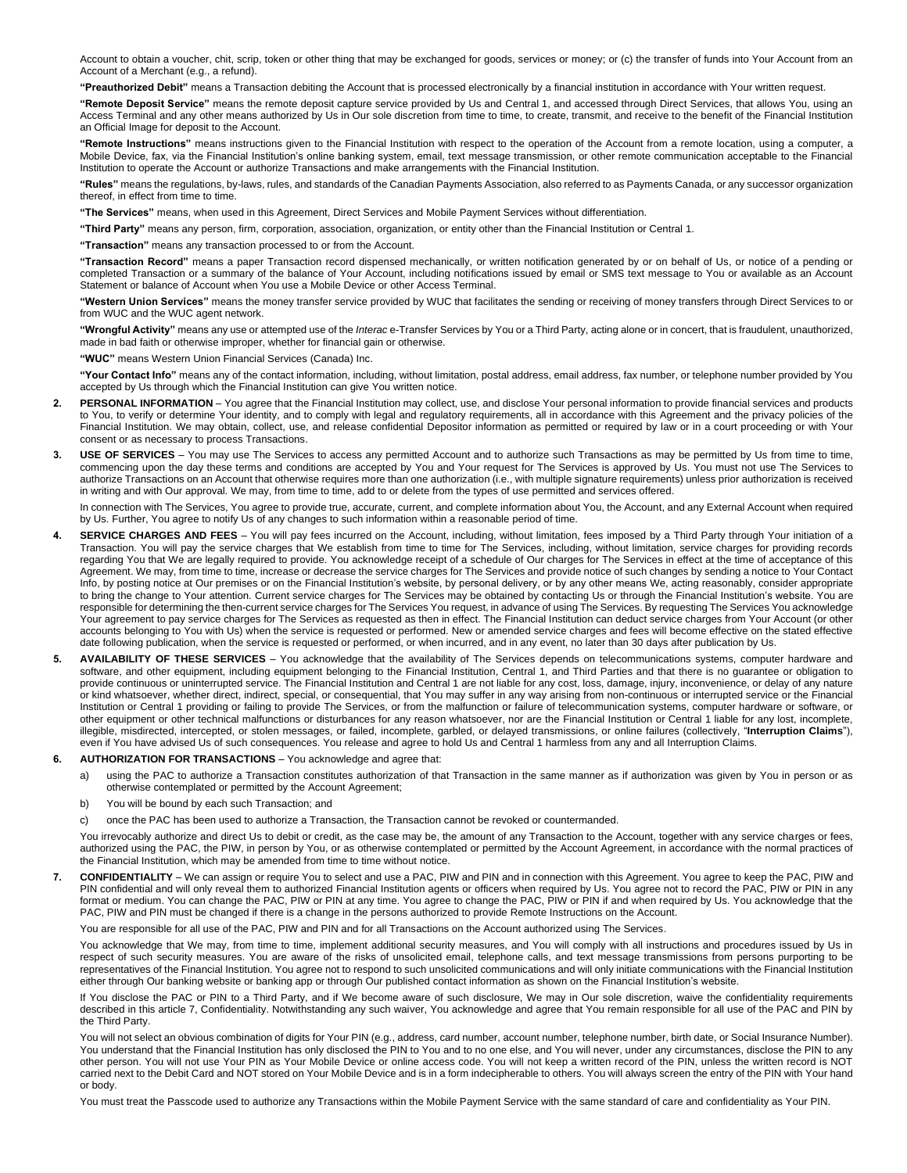Account to obtain a voucher, chit, scrip, token or other thing that may be exchanged for goods, services or money; or (c) the transfer of funds into Your Account from an Account of a Merchant (e.g., a refund).

**"Preauthorized Debit"** means a Transaction debiting the Account that is processed electronically by a financial institution in accordance with Your written request.

**"Remote Deposit Service"** means the remote deposit capture service provided by Us and Central 1, and accessed through Direct Services, that allows You, using an Access Terminal and any other means authorized by Us in Our sole discretion from time to time, to create, transmit, and receive to the benefit of the Financial Institution an Official Image for deposit to the Account.

**"Remote Instructions"** means instructions given to the Financial Institution with respect to the operation of the Account from a remote location, using a computer, a Mobile Device, fax, via the Financial Institution's online banking system, email, text message transmission, or other remote communication acceptable to the Financial Institution to operate the Account or authorize Transactions and make arrangements with the Financial Institution.

**"Rules"** means the regulations, by-laws, rules, and standards of the Canadian Payments Association, also referred to as Payments Canada, or any successor organization thereof, in effect from time to time.

**"The Services"** means, when used in this Agreement, Direct Services and Mobile Payment Services without differentiation.

**"Third Party"** means any person, firm, corporation, association, organization, or entity other than the Financial Institution or Central 1.

**"Transaction"** means any transaction processed to or from the Account.

**"Transaction Record"** means a paper Transaction record dispensed mechanically, or written notification generated by or on behalf of Us, or notice of a pending or completed Transaction or a summary of the balance of Your Account, including notifications issued by email or SMS text message to You or available as an Account Statement or balance of Account when You use a Mobile Device or other Access Terminal.

**"Western Union Services"** means the money transfer service provided by WUC that facilitates the sending or receiving of money transfers through Direct Services to or from WUC and the WUC agent network.

**"Wrongful Activity"** means any use or attempted use of the *Interac* e-Transfer Services by You or a Third Party, acting alone or in concert, that is fraudulent, unauthorized, made in bad faith or otherwise improper, whether for financial gain or otherwise.

**"WUC"** means Western Union Financial Services (Canada) Inc.

**"Your Contact Info"** means any of the contact information, including, without limitation, postal address, email address, fax number, or telephone number provided by You accepted by Us through which the Financial Institution can give You written notice.

- **PERSONAL INFORMATION** You agree that the Financial Institution may collect, use, and disclose Your personal information to provide financial services and products to You, to verify or determine Your identity, and to comply with legal and regulatory requirements, all in accordance with this Agreement and the privacy policies of the Financial Institution. We may obtain, collect, use, and release confidential Depositor information as permitted or required by law or in a court proceeding or with Your consent or as necessary to process Transactions.
- **3. USE OF SERVICES**  You may use The Services to access any permitted Account and to authorize such Transactions as may be permitted by Us from time to time, commencing upon the day these terms and conditions are accepted by You and Your request for The Services is approved by Us. You must not use The Services to authorize Transactions on an Account that otherwise requires more than one authorization (i.e., with multiple signature requirements) unless prior authorization is received in writing and with Our approval. We may, from time to time, add to or delete from the types of use permitted and services offered.

In connection with The Services, You agree to provide true, accurate, current, and complete information about You, the Account, and any External Account when required by Us. Further, You agree to notify Us of any changes to such information within a reasonable period of time.

- **4. SERVICE CHARGES AND FEES**  You will pay fees incurred on the Account, including, without limitation, fees imposed by a Third Party through Your initiation of a Transaction. You will pay the service charges that We establish from time to time for The Services, including, without limitation, service charges for providing records regarding You that We are legally required to provide. You acknowledge receipt of a schedule of Our charges for The Services in effect at the time of acceptance of this Agreement. We may, from time to time, increase or decrease the service charges for The Services and provide notice of such changes by sending a notice to Your Contact Info, by posting notice at Our premises or on the Financial Institution's website, by personal delivery, or by any other means We, acting reasonably, consider appropriate to bring the change to Your attention. Current service charges for The Services may be obtained by contacting Us or through the Financial Institution's website. You are responsible for determining the then-current service charges for The Services You request, in advance of using The Services. By requesting The Services You acknowledge Your agreement to pay service charges for The Services as requested as then in effect. The Financial Institution can deduct service charges from Your Account (or other accounts belonging to You with Us) when the service is requested or performed. New or amended service charges and fees will become effective on the stated effective date following publication, when the service is requested or performed, or when incurred, and in any event, no later than 30 days after publication by Us.
- **5. AVAILABILITY OF THESE SERVICES**  You acknowledge that the availability of The Services depends on telecommunications systems, computer hardware and software, and other equipment, including equipment belonging to the Financial Institution, Central 1, and Third Parties and that there is no guarantee or obligation to provide continuous or uninterrupted service. The Financial Institution and Central 1 are not liable for any cost, loss, damage, injury, inconvenience, or delay of any nature or kind whatsoever, whether direct, indirect, special, or consequential, that You may suffer in any way arising from non-continuous or interrupted service or the Financial Institution or Central 1 providing or failing to provide The Services, or from the malfunction or failure of telecommunication systems, computer hardware or software, or other equipment or other technical malfunctions or disturbances for any reason whatsoever, nor are the Financial Institution or Central 1 liable for any lost, incomplete, illegible, misdirected, intercepted, or stolen messages, or failed, incomplete, garbled, or delayed transmissions, or online failures (collectively, "**Interruption Claims**"), even if You have advised Us of such consequences. You release and agree to hold Us and Central 1 harmless from any and all Interruption Claims.

#### **6. AUTHORIZATION FOR TRANSACTIONS** – You acknowledge and agree that:

- a) using the PAC to authorize a Transaction constitutes authorization of that Transaction in the same manner as if authorization was given by You in person or as otherwise contemplated or permitted by the Account Agreement;
- b) You will be bound by each such Transaction; and
- c) once the PAC has been used to authorize a Transaction, the Transaction cannot be revoked or countermanded.

You irrevocably authorize and direct Us to debit or credit, as the case may be, the amount of any Transaction to the Account, together with any service charges or fees, authorized using the PAC, the PIW, in person by You, or as otherwise contemplated or permitted by the Account Agreement, in accordance with the normal practices of the Financial Institution, which may be amended from time to time without notice.

7. CONFIDENTIALITY - We can assign or require You to select and use a PAC, PIW and PIN and in connection with this Agreement. You agree to keep the PAC, PIW and PIN confidential and will only reveal them to authorized Financial Institution agents or officers when required by Us. You agree not to record the PAC, PIW or PIN in any format or medium. You can change the PAC, PIW or PIN at any time. You agree to change the PAC, PIW or PIN if and when required by Us. You acknowledge that the PAC, PIW and PIN must be changed if there is a change in the persons authorized to provide Remote Instructions on the Account.

You are responsible for all use of the PAC, PIW and PIN and for all Transactions on the Account authorized using The Services.

You acknowledge that We may, from time to time, implement additional security measures, and You will comply with all instructions and procedures issued by Us in respect of such security measures. You are aware of the risks of unsolicited email, telephone calls, and text message transmissions from persons purporting to be representatives of the Financial Institution. You agree not to respond to such unsolicited communications and will only initiate communications with the Financial Institution either through Our banking website or banking app or through Our published contact information as shown on the Financial Institution's website.

If You disclose the PAC or PIN to a Third Party, and if We become aware of such disclosure, We may in Our sole discretion, waive the confidentiality requirements described in this article 7, Confidentiality. Notwithstanding any such waiver, You acknowledge and agree that You remain responsible for all use of the PAC and PIN by the Third Party.

You will not select an obvious combination of digits for Your PIN (e.g., address, card number, account number, telephone number, birth date, or Social Insurance Number). You understand that the Financial Institution has only disclosed the PIN to You and to no one else, and You will never, under any circumstances, disclose the PIN to any other person. You will not use Your PIN as Your Mobile Device or online access code. You will not keep a written record of the PIN, unless the written record is NOT carried next to the Debit Card and NOT stored on Your Mobile Device and is in a form indecipherable to others. You will always screen the entry of the PIN with Your hand or body.

You must treat the Passcode used to authorize any Transactions within the Mobile Payment Service with the same standard of care and confidentiality as Your PIN.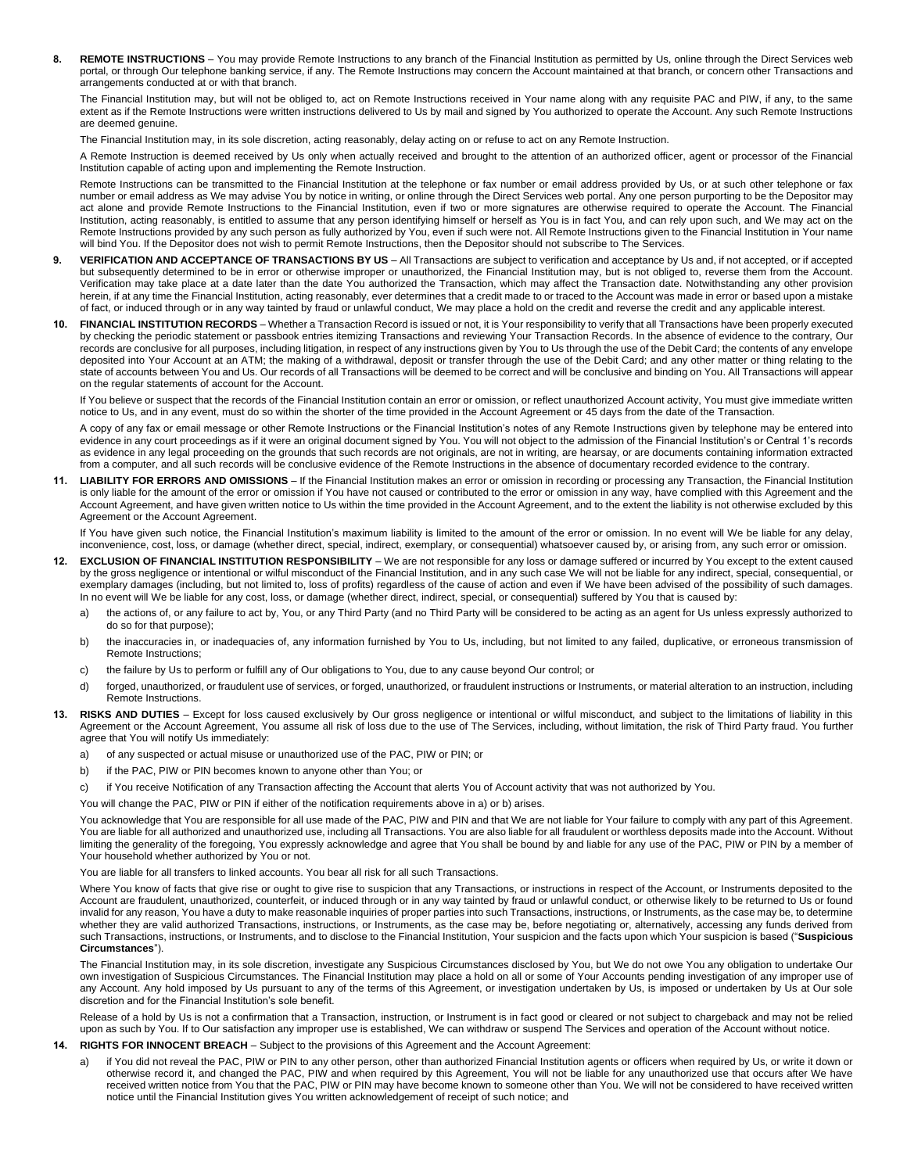8. REMOTE INSTRUCTIONS - You may provide Remote Instructions to any branch of the Financial Institution as permitted by Us, online through the Direct Services web portal, or through Our telephone banking service, if any. The Remote Instructions may concern the Account maintained at that branch, or concern other Transactions and arrangements conducted at or with that branch.

The Financial Institution may, but will not be obliged to, act on Remote Instructions received in Your name along with any requisite PAC and PIW, if any, to the same extent as if the Remote Instructions were written instructions delivered to Us by mail and signed by You authorized to operate the Account. Any such Remote Instructions are deemed genuine.

The Financial Institution may, in its sole discretion, acting reasonably, delay acting on or refuse to act on any Remote Instruction.

A Remote Instruction is deemed received by Us only when actually received and brought to the attention of an authorized officer, agent or processor of the Financial Institution capable of acting upon and implementing the Remote Instruction.

Remote Instructions can be transmitted to the Financial Institution at the telephone or fax number or email address provided by Us, or at such other telephone or fax number or email address as We may advise You by notice in writing, or online through the Direct Services web portal. Any one person purporting to be the Depositor may act alone and provide Remote Instructions to the Financial Institution, even if two or more signatures are otherwise required to operate the Account. The Financial Institution, acting reasonably, is entitled to assume that any person identifying himself or herself as You is in fact You, and can rely upon such, and We may act on the Remote Instructions provided by any such person as fully authorized by You, even if such were not. All Remote Instructions given to the Financial Institution in Your name will bind You. If the Depositor does not wish to permit Remote Instructions, then the Depositor should not subscribe to The Services.

- 9. VERIFICATION AND ACCEPTANCE OF TRANSACTIONS BY US All Transactions are subject to verification and acceptance by Us and, if not accepted, or if accepted but subsequently determined to be in error or otherwise improper or unauthorized, the Financial Institution may, but is not obliged to, reverse them from the Account. Verification may take place at a date later than the date You authorized the Transaction, which may affect the Transaction date. Notwithstanding any other provision herein, if at any time the Financial Institution, acting reasonably, ever determines that a credit made to or traced to the Account was made in error or based upon a mistake of fact, or induced through or in any way tainted by fraud or unlawful conduct, We may place a hold on the credit and reverse the credit and any applicable interest.
- **10. FINANCIAL INSTITUTION RECORDS** Whether a Transaction Record is issued or not, it is Your responsibility to verify that all Transactions have been properly executed by checking the periodic statement or passbook entries itemizing Transactions and reviewing Your Transaction Records. In the absence of evidence to the contrary, Our records are conclusive for all purposes, including litigation, in respect of any instructions given by You to Us through the use of the Debit Card; the contents of any envelope deposited into Your Account at an ATM; the making of a withdrawal, deposit or transfer through the use of the Debit Card; and any other matter or thing relating to the state of accounts between You and Us. Our records of all Transactions will be deemed to be correct and will be conclusive and binding on You. All Transactions will appear on the regular statements of account for the Account.

If You believe or suspect that the records of the Financial Institution contain an error or omission, or reflect unauthorized Account activity, You must give immediate written notice to Us, and in any event, must do so within the shorter of the time provided in the Account Agreement or 45 days from the date of the Transaction.

A copy of any fax or email message or other Remote Instructions or the Financial Institution's notes of any Remote Instructions given by telephone may be entered into evidence in any court proceedings as if it were an original document signed by You. You will not object to the admission of the Financial Institution's or Central 1's records as evidence in any legal proceeding on the grounds that such records are not originals, are not in writing, are hearsay, or are documents containing information extracted from a computer, and all such records will be conclusive evidence of the Remote Instructions in the absence of documentary recorded evidence to the contrary.

**11. LIABILITY FOR ERRORS AND OMISSIONS** – If the Financial Institution makes an error or omission in recording or processing any Transaction, the Financial Institution is only liable for the amount of the error or omission if You have not caused or contributed to the error or omission in any way, have complied with this Agreement and the Account Agreement, and have given written notice to Us within the time provided in the Account Agreement, and to the extent the liability is not otherwise excluded by this Agreement or the Account Agreement.

If You have given such notice, the Financial Institution's maximum liability is limited to the amount of the error or omission. In no event will We be liable for any delay, inconvenience, cost, loss, or damage (whether direct, special, indirect, exemplary, or consequential) whatsoever caused by, or arising from, any such error or omission.

- **12. EXCLUSION OF FINANCIAL INSTITUTION RESPONSIBILITY**  We are not responsible for any loss or damage suffered or incurred by You except to the extent caused by the gross negligence or intentional or wilful misconduct of the Financial Institution, and in any such case We will not be liable for any indirect, special, consequential, or exemplary damages (including, but not limited to, loss of profits) regardless of the cause of action and even if We have been advised of the possibility of such damages. In no event will We be liable for any cost, loss, or damage (whether direct, indirect, special, or consequential) suffered by You that is caused by:
	- a) the actions of, or any failure to act by, You, or any Third Party (and no Third Party will be considered to be acting as an agent for Us unless expressly authorized to do so for that purpose);
	- b) the inaccuracies in, or inadequacies of, any information furnished by You to Us, including, but not limited to any failed, duplicative, or erroneous transmission of Remote Instructions;
	- c) the failure by Us to perform or fulfill any of Our obligations to You, due to any cause beyond Our control; or
	- d) forged, unauthorized, or fraudulent use of services, or forged, unauthorized, or fraudulent instructions or Instruments, or material alteration to an instruction, including Remote Instructions.
- **13. RISKS AND DUTIES**  Except for loss caused exclusively by Our gross negligence or intentional or wilful misconduct, and subject to the limitations of liability in this Agreement or the Account Agreement, You assume all risk of loss due to the use of The Services, including, without limitation, the risk of Third Party fraud. You further agree that You will notify Us immediately:
	- a) of any suspected or actual misuse or unauthorized use of the PAC, PIW or PIN; or
	- b) if the PAC, PIW or PIN becomes known to anyone other than You; or
	- c) if You receive Notification of any Transaction affecting the Account that alerts You of Account activity that was not authorized by You.
	- You will change the PAC, PIW or PIN if either of the notification requirements above in a) or b) arises.

You acknowledge that You are responsible for all use made of the PAC, PIW and PIN and that We are not liable for Your failure to comply with any part of this Agreement. You are liable for all authorized and unauthorized use, including all Transactions. You are also liable for all fraudulent or worthless deposits made into the Account. Without limiting the generality of the foregoing, You expressly acknowledge and agree that You shall be bound by and liable for any use of the PAC, PIW or PIN by a member of Your household whether authorized by You or not.

You are liable for all transfers to linked accounts. You bear all risk for all such Transactions.

Where You know of facts that give rise or ought to give rise to suspicion that any Transactions, or instructions in respect of the Account, or Instruments deposited to the Account are fraudulent, unauthorized, counterfeit, or induced through or in any way tainted by fraud or unlawful conduct, or otherwise likely to be returned to Us or found invalid for any reason, You have a duty to make reasonable inquiries of proper parties into such Transactions, instructions, or Instruments, as the case may be, to determine whether they are valid authorized Transactions, instructions, or Instruments, as the case may be, before negotiating or, alternatively, accessing any funds derived from such Transactions, instructions, or Instruments, and to disclose to the Financial Institution, Your suspicion and the facts upon which Your suspicion is based ("**Suspicious Circumstances**").

The Financial Institution may, in its sole discretion, investigate any Suspicious Circumstances disclosed by You, but We do not owe You any obligation to undertake Our own investigation of Suspicious Circumstances. The Financial Institution may place a hold on all or some of Your Accounts pending investigation of any improper use of any Account. Any hold imposed by Us pursuant to any of the terms of this Agreement, or investigation undertaken by Us, is imposed or undertaken by Us at Our sole discretion and for the Financial Institution's sole benefit.

Release of a hold by Us is not a confirmation that a Transaction, instruction, or Instrument is in fact good or cleared or not subject to chargeback and may not be relied upon as such by You. If to Our satisfaction any improper use is established, We can withdraw or suspend The Services and operation of the Account without notice.

- **14. RIGHTS FOR INNOCENT BREACH**  Subject to the provisions of this Agreement and the Account Agreement:
	- a) if You did not reveal the PAC, PIW or PIN to any other person, other than authorized Financial Institution agents or officers when required by Us, or write it down or otherwise record it, and changed the PAC, PIW and when required by this Agreement, You will not be liable for any unauthorized use that occurs after We have received written notice from You that the PAC, PIW or PIN may have become known to someone other than You. We will not be considered to have received written notice until the Financial Institution gives You written acknowledgement of receipt of such notice; and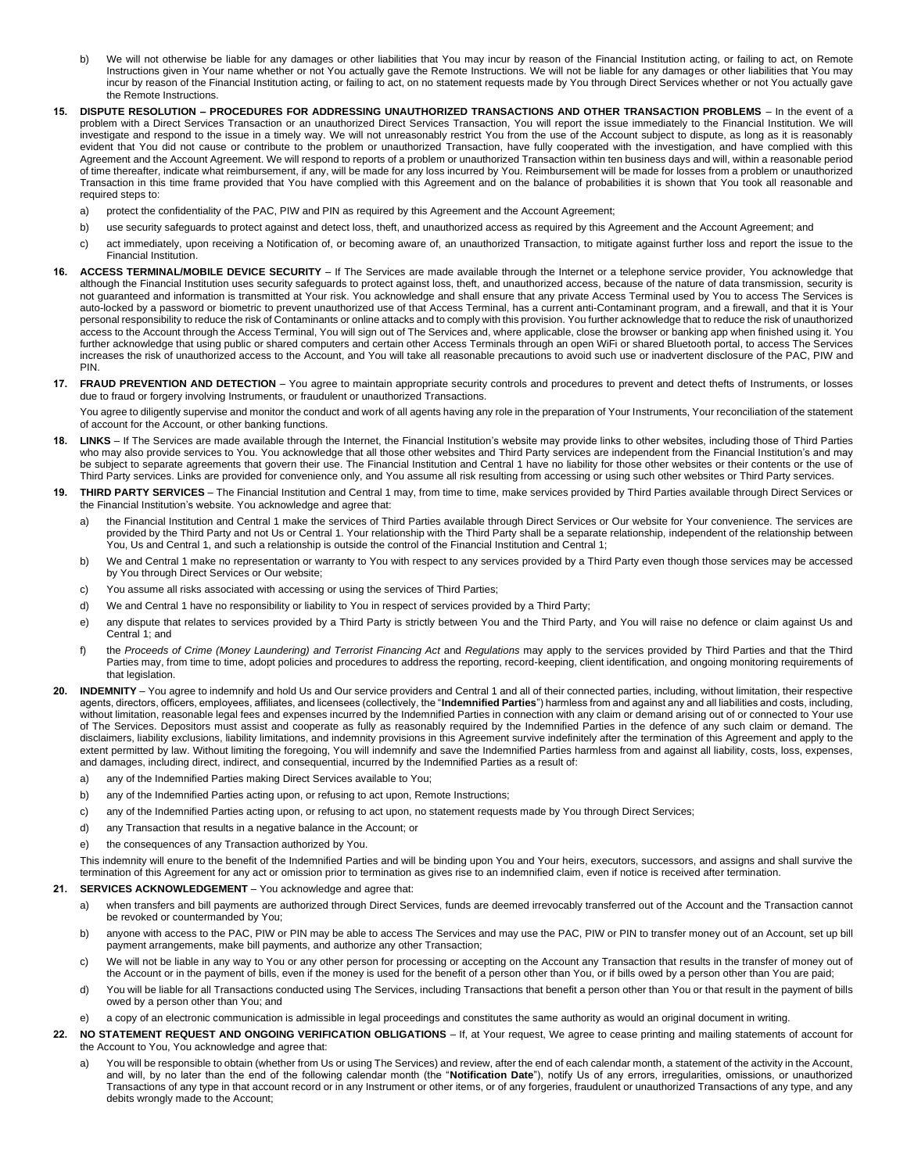- b) We will not otherwise be liable for any damages or other liabilities that You may incur by reason of the Financial Institution acting, or failing to act, on Remote Instructions given in Your name whether or not You actually gave the Remote Instructions. We will not be liable for any damages or other liabilities that You may incur by reason of the Financial Institution acting, or failing to act, on no statement requests made by You through Direct Services whether or not You actually gave the Remote Instructions.
- **15. DISPUTE RESOLUTION – PROCEDURES FOR ADDRESSING UNAUTHORIZED TRANSACTIONS AND OTHER TRANSACTION PROBLEMS**  In the event of a problem with a Direct Services Transaction or an unauthorized Direct Services Transaction, You will report the issue immediately to the Financial Institution. We will investigate and respond to the issue in a timely way. We will not unreasonably restrict You from the use of the Account subject to dispute, as long as it is reasonably evident that You did not cause or contribute to the problem or unauthorized Transaction, have fully cooperated with the investigation, and have complied with this Agreement and the Account Agreement. We will respond to reports of a problem or unauthorized Transaction within ten business days and will, within a reasonable period of time thereafter, indicate what reimbursement, if any, will be made for any loss incurred by You. Reimbursement will be made for losses from a problem or unauthorized Transaction in this time frame provided that You have complied with this Agreement and on the balance of probabilities it is shown that You took all reasonable and required steps to:
	- a) protect the confidentiality of the PAC, PIW and PIN as required by this Agreement and the Account Agreement;
	- b) use security safeguards to protect against and detect loss, theft, and unauthorized access as required by this Agreement and the Account Agreement; and
	- c) act immediately, upon receiving a Notification of, or becoming aware of, an unauthorized Transaction, to mitigate against further loss and report the issue to the Financial Institution.
- **16. ACCESS TERMINAL/MOBILE DEVICE SECURITY**  If The Services are made available through the Internet or a telephone service provider, You acknowledge that although the Financial Institution uses security safeguards to protect against loss, theft, and unauthorized access, because of the nature of data transmission, security is not guaranteed and information is transmitted at Your risk. You acknowledge and shall ensure that any private Access Terminal used by You to access The Services is auto-locked by a password or biometric to prevent unauthorized use of that Access Terminal, has a current anti-Contaminant program, and a firewall, and that it is Your personal responsibility to reduce the risk of Contaminants or online attacks and to comply with this provision. You further acknowledge that to reduce the risk of unauthorized access to the Account through the Access Terminal, You will sign out of The Services and, where applicable, close the browser or banking app when finished using it. You further acknowledge that using public or shared computers and certain other Access Terminals through an open WiFi or shared Bluetooth portal, to access The Services increases the risk of unauthorized access to the Account, and You will take all reasonable precautions to avoid such use or inadvertent disclosure of the PAC, PIW and PIN.
- **17. FRAUD PREVENTION AND DETECTION**  You agree to maintain appropriate security controls and procedures to prevent and detect thefts of Instruments, or losses due to fraud or forgery involving Instruments, or fraudulent or unauthorized Transactions.

You agree to diligently supervise and monitor the conduct and work of all agents having any role in the preparation of Your Instruments, Your reconciliation of the statement of account for the Account, or other banking functions.

- **18. LINKS**  If The Services are made available through the Internet, the Financial Institution's website may provide links to other websites, including those of Third Parties who may also provide services to You. You acknowledge that all those other websites and Third Party services are independent from the Financial Institution's and may be subject to separate agreements that govern their use. The Financial Institution and Central 1 have no liability for those other websites or their contents or the use of Third Party services. Links are provided for convenience only, and You assume all risk resulting from accessing or using such other websites or Third Party services.
- **19. THIRD PARTY SERVICES**  The Financial Institution and Central 1 may, from time to time, make services provided by Third Parties available through Direct Services or the Financial Institution's website. You acknowledge and agree that:
	- a) the Financial Institution and Central 1 make the services of Third Parties available through Direct Services or Our website for Your convenience. The services are provided by the Third Party and not Us or Central 1. Your relationship with the Third Party shall be a separate relationship, independent of the relationship between You, Us and Central 1, and such a relationship is outside the control of the Financial Institution and Central 1;
	- b) We and Central 1 make no representation or warranty to You with respect to any services provided by a Third Party even though those services may be accessed by You through Direct Services or Our website;
	- c) You assume all risks associated with accessing or using the services of Third Parties;
	- d) We and Central 1 have no responsibility or liability to You in respect of services provided by a Third Party;
	- e) any dispute that relates to services provided by a Third Party is strictly between You and the Third Party, and You will raise no defence or claim against Us and Central 1; and
	- f) the *Proceeds of Crime (Money Laundering) and Terrorist Financing Act* and *Regulations* may apply to the services provided by Third Parties and that the Third Parties may, from time to time, adopt policies and procedures to address the reporting, record-keeping, client identification, and ongoing monitoring requirements of that legislation.
- **20. INDEMNITY**  You agree to indemnify and hold Us and Our service providers and Central 1 and all of their connected parties, including, without limitation, their respective agents, directors, officers, employees, affiliates, and licensees (collectively, the "**Indemnified Parties**") harmless from and against any and all liabilities and costs, including, without limitation, reasonable legal fees and expenses incurred by the Indemnified Parties in connection with any claim or demand arising out of or connected to Your use of The Services. Depositors must assist and cooperate as fully as reasonably required by the Indemnified Parties in the defence of any such claim or demand. The disclaimers, liability exclusions, liability limitations, and indemnity provisions in this Agreement survive indefinitely after the termination of this Agreement and apply to the extent permitted by law. Without limiting the foregoing, You will indemnify and save the Indemnified Parties harmless from and against all liability, costs, loss, expenses, and damages, including direct, indirect, and consequential, incurred by the Indemnified Parties as a result of:
	- a) any of the Indemnified Parties making Direct Services available to You;
	- b) any of the Indemnified Parties acting upon, or refusing to act upon, Remote Instructions;
	- c) any of the Indemnified Parties acting upon, or refusing to act upon, no statement requests made by You through Direct Services;
	- d) any Transaction that results in a negative balance in the Account; or
	- e) the consequences of any Transaction authorized by You.

This indemnity will enure to the benefit of the Indemnified Parties and will be binding upon You and Your heirs, executors, successors, and assigns and shall survive the termination of this Agreement for any act or omission prior to termination as gives rise to an indemnified claim, even if notice is received after termination.

### **21. SERVICES ACKNOWLEDGEMENT** – You acknowledge and agree that:

- a) when transfers and bill payments are authorized through Direct Services, funds are deemed irrevocably transferred out of the Account and the Transaction cannot be revoked or countermanded by You;
- b) anyone with access to the PAC, PIW or PIN may be able to access The Services and may use the PAC, PIW or PIN to transfer money out of an Account, set up bill payment arrangements, make bill payments, and authorize any other Transaction;
- c) We will not be liable in any way to You or any other person for processing or accepting on the Account any Transaction that results in the transfer of money out of the Account or in the payment of bills, even if the money is used for the benefit of a person other than You, or if bills owed by a person other than You are paid;
- d) You will be liable for all Transactions conducted using The Services, including Transactions that benefit a person other than You or that result in the payment of bills owed by a person other than You; and
- e) a copy of an electronic communication is admissible in legal proceedings and constitutes the same authority as would an original document in writing.
- **22. NO STATEMENT REQUEST AND ONGOING VERIFICATION OBLIGATIONS**  If, at Your request, We agree to cease printing and mailing statements of account for the Account to You, You acknowledge and agree that:
	- a) You will be responsible to obtain (whether from Us or using The Services) and review, after the end of each calendar month, a statement of the activity in the Account, and will, by no later than the end of the following calendar month (the "Notification Date"), notify Us of any errors, irregularities, omissions, or unauthorized Transactions of any type in that account record or in any Instrument or other items, or of any forgeries, fraudulent or unauthorized Transactions of any type, and any debits wrongly made to the Account;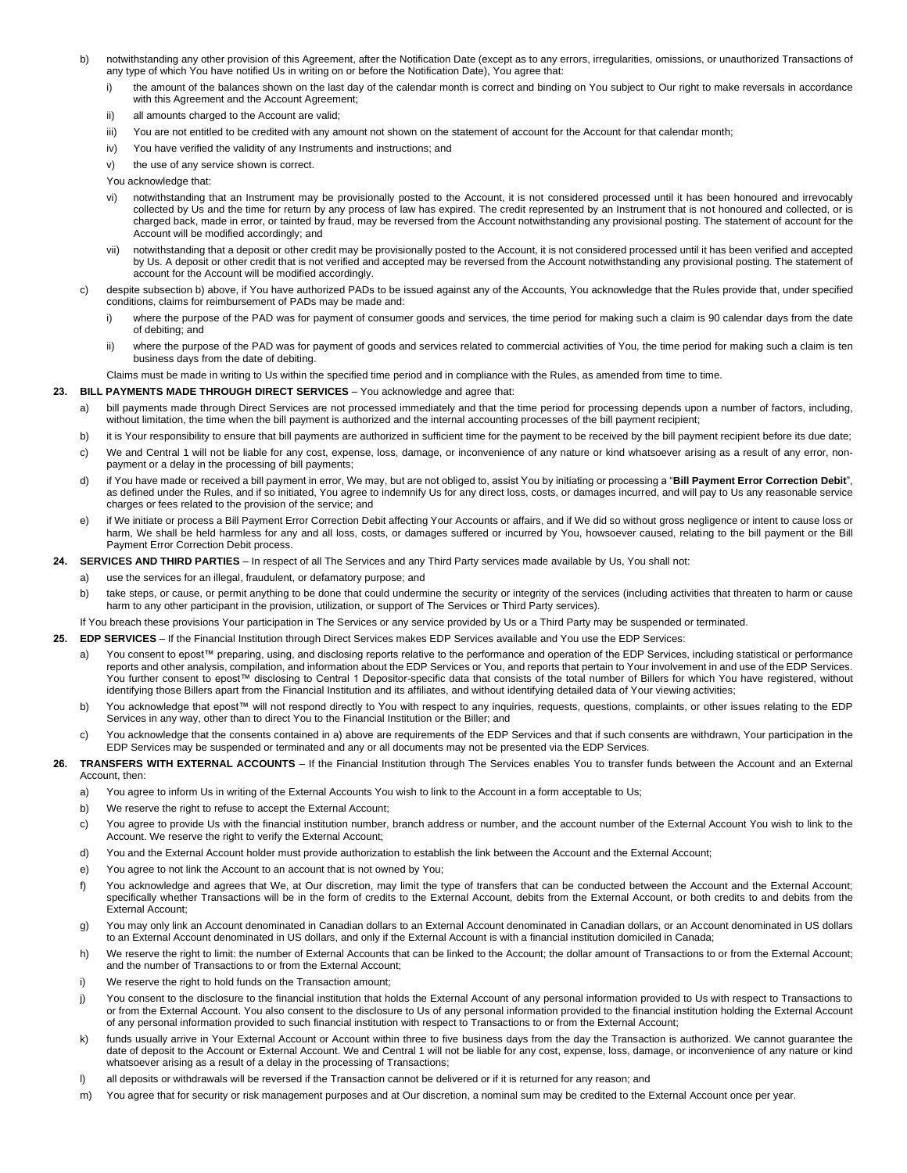- b) notwithstanding any other provision of this Agreement, after the Notification Date (except as to any errors, irregularities, omissions, or unauthorized Transactions of any type of which You have notified Us in writing on or before the Notification Date), You agree that:
	- i) the amount of the balances shown on the last day of the calendar month is correct and binding on You subject to Our right to make reversals in accordance with this Agreement and the Account Agreement;
	- ii) all amounts charged to the Account are valid;
	- iii) You are not entitled to be credited with any amount not shown on the statement of account for the Account for that calendar month;
	- iv) You have verified the validity of any Instruments and instructions; and
	- v) the use of any service shown is correct.

You acknowledge that:

- vi) notwithstanding that an Instrument may be provisionally posted to the Account, it is not considered processed until it has been honoured and irrevocably collected by Us and the time for return by any process of law has expired. The credit represented by an Instrument that is not honoured and collected, or is charged back, made in error, or tainted by fraud, may be reversed from the Account notwithstanding any provisional posting. The statement of account for the Account will be modified accordingly; and
- vii) notwithstanding that a deposit or other credit may be provisionally posted to the Account, it is not considered processed until it has been verified and accepted by Us. A deposit or other credit that is not verified and accepted may be reversed from the Account notwithstanding any provisional posting. The statement of account for the Account will be modified accordingly.
- c) despite subsection b) above, if You have authorized PADs to be issued against any of the Accounts, You acknowledge that the Rules provide that, under specified conditions, claims for reimbursement of PADs may be made and:
	- i) where the purpose of the PAD was for payment of consumer goods and services, the time period for making such a claim is 90 calendar days from the date of debiting; and
	- ii) where the purpose of the PAD was for payment of goods and services related to commercial activities of You, the time period for making such a claim is ten business days from the date of debiting.

Claims must be made in writing to Us within the specified time period and in compliance with the Rules, as amended from time to time.

#### **23. BILL PAYMENTS MADE THROUGH DIRECT SERVICES** – You acknowledge and agree that:

- a) bill payments made through Direct Services are not processed immediately and that the time period for processing depends upon a number of factors, including, without limitation, the time when the bill payment is authorized and the internal accounting processes of the bill payment recipient;
- b) it is Your responsibility to ensure that bill payments are authorized in sufficient time for the payment to be received by the bill payment recipient before its due date;
- c) We and Central 1 will not be liable for any cost, expense, loss, damage, or inconvenience of any nature or kind whatsoever arising as a result of any error, nonpayment or a delay in the processing of bill payments;
- d) if You have made or received a bill payment in error, We may, but are not obliged to, assist You by initiating or processing a "**Bill Payment Error Correction Debit**", as defined under the Rules, and if so initiated, You agree to indemnify Us for any direct loss, costs, or damages incurred, and will pay to Us any reasonable service charges or fees related to the provision of the service; and
- e) if We initiate or process a Bill Payment Error Correction Debit affecting Your Accounts or affairs, and if We did so without gross negligence or intent to cause loss or harm. We shall be held harmless for any and all loss, costs, or damages suffered or incurred by You, howsoever caused, relating to the bill payment or the Bill Payment Error Correction Debit process.

**24. SERVICES AND THIRD PARTIES** – In respect of all The Services and any Third Party services made available by Us, You shall not:

- a) use the services for an illegal, fraudulent, or defamatory purpose; and
	- b) take steps, or cause, or permit anything to be done that could undermine the security or integrity of the services (including activities that threaten to harm or cause harm to any other participant in the provision, utilization, or support of The Services or Third Party services).

If You breach these provisions Your participation in The Services or any service provided by Us or a Third Party may be suspended or terminated.

**25. EDP SERVICES** – If the Financial Institution through Direct Services makes EDP Services available and You use the EDP Services:

- a) You consent to epost™ preparing, using, and disclosing reports relative to the performance and operation of the EDP Services, including statistical or performance reports and other analysis, compilation, and information about the EDP Services or You, and reports that pertain to Your involvement in and use of the EDP Services. You further consent to epost™ disclosing to Central 1 Depositor-specific data that consists of the total number of Billers for which You have registered, without identifying those Billers apart from the Financial Institution and its affiliates, and without identifying detailed data of Your viewing activities;
- b) You acknowledge that epost™ will not respond directly to You with respect to any inquiries, requests, questions, complaints, or other issues relating to the EDP Services in any way, other than to direct You to the Financial Institution or the Biller; and
- c) You acknowledge that the consents contained in a) above are requirements of the EDP Services and that if such consents are withdrawn, Your participation in the EDP Services may be suspended or terminated and any or all documents may not be presented via the EDP Services.
- **26. TRANSFERS WITH EXTERNAL ACCOUNTS**  If the Financial Institution through The Services enables You to transfer funds between the Account and an External Account, then:
	- a) You agree to inform Us in writing of the External Accounts You wish to link to the Account in a form acceptable to Us;
	- b) We reserve the right to refuse to accept the External Account;
	- c) You agree to provide Us with the financial institution number, branch address or number, and the account number of the External Account You wish to link to the Account. We reserve the right to verify the External Account;
	- d) You and the External Account holder must provide authorization to establish the link between the Account and the External Account;
	- e) You agree to not link the Account to an account that is not owned by You;
	- f) You acknowledge and agrees that We, at Our discretion, may limit the type of transfers that can be conducted between the Account and the External Account; specifically whether Transactions will be in the form of credits to the External Account, debits from the External Account, or both credits to and debits from the External Account;
	- g) You may only link an Account denominated in Canadian dollars to an External Account denominated in Canadian dollars, or an Account denominated in US dollars to an External Account denominated in US dollars, and only if the External Account is with a financial institution domiciled in Canada;
	- h) We reserve the right to limit: the number of External Accounts that can be linked to the Account; the dollar amount of Transactions to or from the External Account; and the number of Transactions to or from the External Account;
	- i) We reserve the right to hold funds on the Transaction amount:
	- j) You consent to the disclosure to the financial institution that holds the External Account of any personal information provided to Us with respect to Transactions to or from the External Account. You also consent to the disclosure to Us of any personal information provided to the financial institution holding the External Account of any personal information provided to such financial institution with respect to Transactions to or from the External Account;
	- funds usually arrive in Your External Account or Account within three to five business days from the day the Transaction is authorized. We cannot guarantee the date of deposit to the Account or External Account. We and Central 1 will not be liable for any cost, expense, loss, damage, or inconvenience of any nature or kind whatsoever arising as a result of a delay in the processing of Transactions;
	- l) all deposits or withdrawals will be reversed if the Transaction cannot be delivered or if it is returned for any reason; and
	- m) You agree that for security or risk management purposes and at Our discretion, a nominal sum may be credited to the External Account once per year.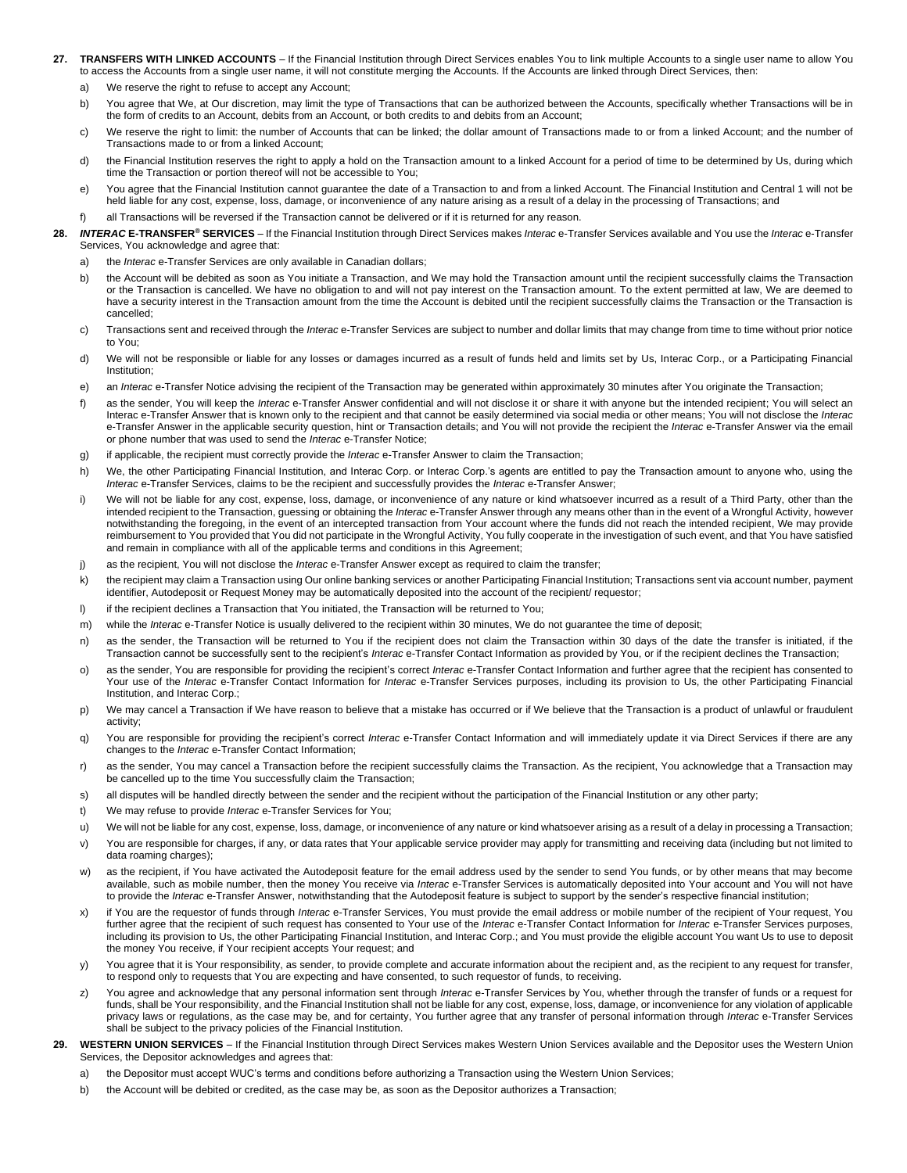- **27. TRANSFERS WITH LINKED ACCOUNTS**  If the Financial Institution through Direct Services enables You to link multiple Accounts to a single user name to allow You to access the Accounts from a single user name, it will not constitute merging the Accounts. If the Accounts are linked through Direct Services, then:
	- a) We reserve the right to refuse to accept any Account:
	- b) You agree that We, at Our discretion, may limit the type of Transactions that can be authorized between the Accounts, specifically whether Transactions will be in the form of credits to an Account, debits from an Account, or both credits to and debits from an Account;
	- c) We reserve the right to limit: the number of Accounts that can be linked; the dollar amount of Transactions made to or from a linked Account; and the number of Transactions made to or from a linked Account;
	- d) the Financial Institution reserves the right to apply a hold on the Transaction amount to a linked Account for a period of time to be determined by Us, during which time the Transaction or portion thereof will not be accessible to You;
	- e) You agree that the Financial Institution cannot quarantee the date of a Transaction to and from a linked Account. The Financial Institution and Central 1 will not be held liable for any cost, expense, loss, damage, or inconvenience of any nature arising as a result of a delay in the processing of Transactions; and
	- f) all Transactions will be reversed if the Transaction cannot be delivered or if it is returned for any reason.
- **28.** *INTERAC* **E-TRANSFER® SERVICES**  If the Financial Institution through Direct Services makes *Interac* e-Transfer Services available and You use the *Interac* e-Transfer Services, You acknowledge and agree that:
	- a) the *Interac* e-Transfer Services are only available in Canadian dollars;
	- b) the Account will be debited as soon as You initiate a Transaction, and We may hold the Transaction amount until the recipient successfully claims the Transaction or the Transaction is cancelled. We have no obligation to and will not pay interest on the Transaction amount. To the extent permitted at law, We are deemed to have a security interest in the Transaction amount from the time the Account is debited until the recipient successfully claims the Transaction or the Transaction is cancelled;
	- c) Transactions sent and received through the *Interac* e-Transfer Services are subject to number and dollar limits that may change from time to time without prior notice to You;
	- d) We will not be responsible or liable for any losses or damages incurred as a result of funds held and limits set by Us, Interac Corp., or a Participating Financial Institution;
	- e) an *Interac* e-Transfer Notice advising the recipient of the Transaction may be generated within approximately 30 minutes after You originate the Transaction;
	- f) as the sender, You will keep the *Interac* e-Transfer Answer confidential and will not disclose it or share it with anyone but the intended recipient; You will select an Interac e-Transfer Answer that is known only to the recipient and that cannot be easily determined via social media or other means; You will not disclose the *Interac* e-Transfer Answer in the applicable security question, hint or Transaction details; and You will not provide the recipient the *Interac* e-Transfer Answer via the email or phone number that was used to send the *Interac* e-Transfer Notice;
	- g) if applicable, the recipient must correctly provide the *Interac* e-Transfer Answer to claim the Transaction;
	- h) We, the other Participating Financial Institution, and Interac Corp. or Interac Corp.'s agents are entitled to pay the Transaction amount to anyone who, using the *Interac* e-Transfer Services, claims to be the recipient and successfully provides the *Interac* e-Transfer Answer;
	- i) We will not be liable for any cost, expense, loss, damage, or inconvenience of any nature or kind whatsoever incurred as a result of a Third Party, other than the intended recipient to the Transaction, guessing or obtaining the *Interac* e-Transfer Answer through any means other than in the event of a Wrongful Activity, however notwithstanding the foregoing, in the event of an intercepted transaction from Your account where the funds did not reach the intended recipient, We may provide reimbursement to You provided that You did not participate in the Wrongful Activity, You fully cooperate in the investigation of such event, and that You have satisfied and remain in compliance with all of the applicable terms and conditions in this Agreement;
	- j) as the recipient, You will not disclose the *Interac* e-Transfer Answer except as required to claim the transfer;
	- k) the recipient may claim a Transaction using Our online banking services or another Participating Financial Institution; Transactions sent via account number, payment identifier, Autodeposit or Request Money may be automatically deposited into the account of the recipient/ requestor;
	- I) if the recipient declines a Transaction that You initiated, the Transaction will be returned to You;
	- m) while the *Interac* e-Transfer Notice is usually delivered to the recipient within 30 minutes, We do not guarantee the time of deposit;
	- n) as the sender, the Transaction will be returned to You if the recipient does not claim the Transaction within 30 days of the date the transfer is initiated, if the Transaction cannot be successfully sent to the recipient's *Interac* e-Transfer Contact Information as provided by You, or if the recipient declines the Transaction;
	- o) as the sender, You are responsible for providing the recipient's correct *Interac* e-Transfer Contact Information and further agree that the recipient has consented to Your use of the *Interac* e-Transfer Contact Information for *Interac* e-Transfer Services purposes, including its provision to Us, the other Participating Financial Institution, and Interac Corp.;
	- p) We may cancel a Transaction if We have reason to believe that a mistake has occurred or if We believe that the Transaction is a product of unlawful or fraudulent activity;
	- q) You are responsible for providing the recipient's correct *Interac* e-Transfer Contact Information and will immediately update it via Direct Services if there are any changes to the *Interac* e-Transfer Contact Information;
	- r) as the sender, You may cancel a Transaction before the recipient successfully claims the Transaction. As the recipient, You acknowledge that a Transaction may be cancelled up to the time You successfully claim the Transaction;
	- s) all disputes will be handled directly between the sender and the recipient without the participation of the Financial Institution or any other party;
	- t) We may refuse to provide *Interac* e-Transfer Services for You;
	- u) We will not be liable for any cost, expense, loss, damage, or inconvenience of any nature or kind whatsoever arising as a result of a delay in processing a Transaction;
	- v) You are responsible for charges, if any, or data rates that Your applicable service provider may apply for transmitting and receiving data (including but not limited to data roaming charges);
	- w) as the recipient, if You have activated the Autodeposit feature for the email address used by the sender to send You funds, or by other means that may become available, such as mobile number, then the money You receive via *Interac* e-Transfer Services is automatically deposited into Your account and You will not have to provide the *Interac* e-Transfer Answer, notwithstanding that the Autodeposit feature is subject to support by the sender's respective financial institution;
	- x) if You are the requestor of funds through *Interac* e-Transfer Services, You must provide the email address or mobile number of the recipient of Your request, You further agree that the recipient of such request has consented to Your use of the *Interac* e-Transfer Contact Information for *Interac* e-Transfer Services purposes, including its provision to Us, the other Participating Financial Institution, and Interac Corp.; and You must provide the eligible account You want Us to use to deposit the money You receive, if Your recipient accepts Your request; and
	- y) You agree that it is Your responsibility, as sender, to provide complete and accurate information about the recipient and, as the recipient to any request for transfer, to respond only to requests that You are expecting and have consented, to such requestor of funds, to receiving.
	- z) You agree and acknowledge that any personal information sent through *Interac* e-Transfer Services by You, whether through the transfer of funds or a request for funds, shall be Your responsibility, and the Financial Institution shall not be liable for any cost, expense, loss, damage, or inconvenience for any violation of applicable privacy laws or regulations, as the case may be, and for certainty, You further agree that any transfer of personal information through *Interac* e-Transfer Services shall be subject to the privacy policies of the Financial Institution.
- **29. WESTERN UNION SERVICES**  If the Financial Institution through Direct Services makes Western Union Services available and the Depositor uses the Western Union Services, the Depositor acknowledges and agrees that:
	- a) the Depositor must accept WUC's terms and conditions before authorizing a Transaction using the Western Union Services;
	- b) the Account will be debited or credited, as the case may be, as soon as the Depositor authorizes a Transaction;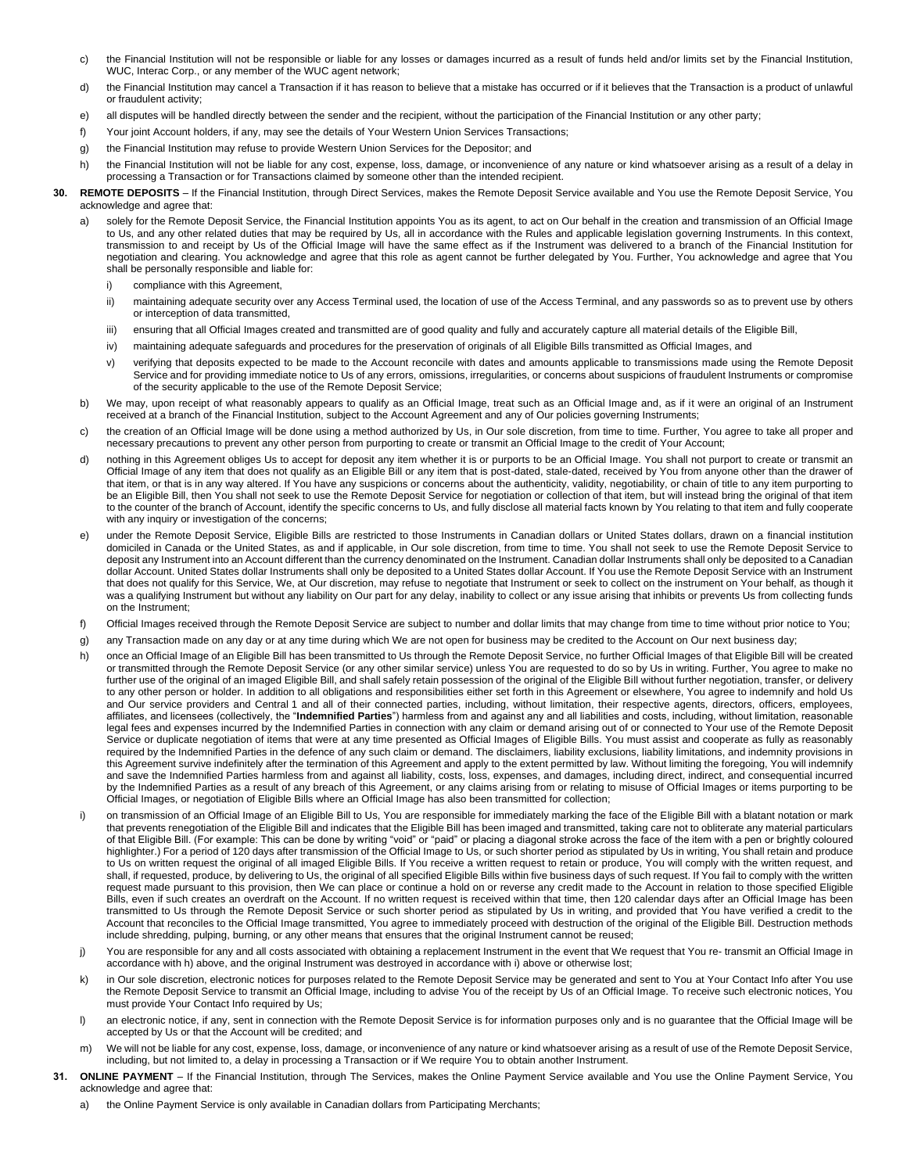- c) the Financial Institution will not be responsible or liable for any losses or damages incurred as a result of funds held and/or limits set by the Financial Institution, WUC, Interac Corp., or any member of the WUC agent network;
- d) the Financial Institution may cancel a Transaction if it has reason to believe that a mistake has occurred or if it believes that the Transaction is a product of unlawful or fraudulent activity;
- e) all disputes will be handled directly between the sender and the recipient, without the participation of the Financial Institution or any other party;
- f) Your joint Account holders, if any, may see the details of Your Western Union Services Transactions;
- g) the Financial Institution may refuse to provide Western Union Services for the Depositor; and
- h) the Financial Institution will not be liable for any cost, expense, loss, damage, or inconvenience of any nature or kind whatsoever arising as a result of a delay in processing a Transaction or for Transactions claimed by someone other than the intended recipient.
- **30. REMOTE DEPOSITS**  If the Financial Institution, through Direct Services, makes the Remote Deposit Service available and You use the Remote Deposit Service, You acknowledge and agree that:
	- solely for the Remote Deposit Service, the Financial Institution appoints You as its agent, to act on Our behalf in the creation and transmission of an Official Image to Us, and any other related duties that may be required by Us, all in accordance with the Rules and applicable legislation governing Instruments. In this context, transmission to and receipt by Us of the Official Image will have the same effect as if the Instrument was delivered to a branch of the Financial Institution for negotiation and clearing. You acknowledge and agree that this role as agent cannot be further delegated by You. Further, You acknowledge and agree that You shall be personally responsible and liable for:
		- i) compliance with this Agreement,
		- ii) maintaining adequate security over any Access Terminal used, the location of use of the Access Terminal, and any passwords so as to prevent use by others or interception of data transmitted,
		- iii) ensuring that all Official Images created and transmitted are of good quality and fully and accurately capture all material details of the Eligible Bill,
		- iv) maintaining adequate safeguards and procedures for the preservation of originals of all Eligible Bills transmitted as Official Images, and
		- v) verifying that deposits expected to be made to the Account reconcile with dates and amounts applicable to transmissions made using the Remote Deposit Service and for providing immediate notice to Us of any errors, omissions, irregularities, or concerns about suspicions of fraudulent Instruments or compromise of the security applicable to the use of the Remote Deposit Service;
	- b) We may, upon receipt of what reasonably appears to qualify as an Official Image, treat such as an Official Image and, as if it were an original of an Instrument received at a branch of the Financial Institution, subject to the Account Agreement and any of Our policies governing Instruments;
	- c) the creation of an Official Image will be done using a method authorized by Us, in Our sole discretion, from time to time. Further, You agree to take all proper and necessary precautions to prevent any other person from purporting to create or transmit an Official Image to the credit of Your Account;
	- d) nothing in this Agreement obliges Us to accept for deposit any item whether it is or purports to be an Official Image. You shall not purport to create or transmit an Official Image of any item that does not qualify as an Eligible Bill or any item that is post-dated, stale-dated, received by You from anyone other than the drawer of that item, or that is in any way altered. If You have any suspicions or concerns about the authenticity, validity, negotiability, or chain of title to any item purporting to be an Eligible Bill, then You shall not seek to use the Remote Deposit Service for negotiation or collection of that item, but will instead bring the original of that item to the counter of the branch of Account, identify the specific concerns to Us, and fully disclose all material facts known by You relating to that item and fully cooperate with any inquiry or investigation of the concerns:
	- e) under the Remote Deposit Service, Eligible Bills are restricted to those Instruments in Canadian dollars or United States dollars, drawn on a financial institution domiciled in Canada or the United States, as and if applicable, in Our sole discretion, from time to time. You shall not seek to use the Remote Deposit Service to deposit any Instrument into an Account different than the currency denominated on the Instrument. Canadian dollar Instruments shall only be deposited to a Canadian dollar Account. United States dollar Instruments shall only be deposited to a United States dollar Account. If You use the Remote Deposit Service with an Instrument that does not qualify for this Service, We, at Our discretion, may refuse to negotiate that Instrument or seek to collect on the instrument on Your behalf, as though it was a qualifying Instrument but without any liability on Our part for any delay, inability to collect or any issue arising that inhibits or prevents Us from collecting funds on the Instrument;
	- f) Official Images received through the Remote Deposit Service are subject to number and dollar limits that may change from time to time without prior notice to You;
	- g) any Transaction made on any day or at any time during which We are not open for business may be credited to the Account on Our next business day;
	- h) once an Official Image of an Eligible Bill has been transmitted to Us through the Remote Deposit Service, no further Official Images of that Eligible Bill will be created or transmitted through the Remote Deposit Service (or any other similar service) unless You are requested to do so by Us in writing. Further, You agree to make no further use of the original of an imaged Eligible Bill, and shall safely retain possession of the original of the Eligible Bill without further negotiation, transfer, or delivery to any other person or holder. In addition to all obligations and responsibilities either set forth in this Agreement or elsewhere, You agree to indemnify and hold Us and Our service providers and Central 1 and all of their connected parties, including, without limitation, their respective agents, directors, officers, employees, affiliates, and licensees (collectively, the "**Indemnified Parties**") harmless from and against any and all liabilities and costs, including, without limitation, reasonable legal fees and expenses incurred by the Indemnified Parties in connection with any claim or demand arising out of or connected to Your use of the Remote Deposit Service or duplicate negotiation of items that were at any time presented as Official Images of Eligible Bills. You must assist and cooperate as fully as reasonably required by the Indemnified Parties in the defence of any such claim or demand. The disclaimers, liability exclusions, liability limitations, and indemnity provisions in this Agreement survive indefinitely after the termination of this Agreement and apply to the extent permitted by law. Without limiting the foregoing, You will indemnify and save the Indemnified Parties harmless from and against all liability, costs, loss, expenses, and damages, including direct, indirect, and consequential incurred by the Indemnified Parties as a result of any breach of this Agreement, or any claims arising from or relating to misuse of Official Images or items purporting to be Official Images, or negotiation of Eligible Bills where an Official Image has also been transmitted for collection;
	- i) on transmission of an Official Image of an Eligible Bill to Us, You are responsible for immediately marking the face of the Eligible Bill with a blatant notation or mark that prevents renegotiation of the Eligible Bill and indicates that the Eligible Bill has been imaged and transmitted, taking care not to obliterate any material particulars of that Eligible Bill. (For example: This can be done by writing "void" or "paid" or placing a diagonal stroke across the face of the item with a pen or brightly coloured highlighter.) For a period of 120 days after transmission of the Official Image to Us, or such shorter period as stipulated by Us in writing, You shall retain and produce to Us on written request the original of all imaged Eligible Bills. If You receive a written request to retain or produce, You will comply with the written request, and shall, if requested, produce, by delivering to Us, the original of all specified Eligible Bills within five business days of such request. If You fail to comply with the written request made pursuant to this provision, then We can place or continue a hold on or reverse any credit made to the Account in relation to those specified Eligible Bills, even if such creates an overdraft on the Account. If no written request is received within that time, then 120 calendar days after an Official Image has been transmitted to Us through the Remote Deposit Service or such shorter period as stipulated by Us in writing, and provided that You have verified a credit to the Account that reconciles to the Official Image transmitted, You agree to immediately proceed with destruction of the original of the Eligible Bill. Destruction methods include shredding, pulping, burning, or any other means that ensures that the original Instrument cannot be reused;
	- j) You are responsible for any and all costs associated with obtaining a replacement Instrument in the event that We request that You re- transmit an Official Image in accordance with h) above, and the original Instrument was destroyed in accordance with i) above or otherwise lost;
	- k) in Our sole discretion, electronic notices for purposes related to the Remote Deposit Service may be generated and sent to You at Your Contact Info after You use the Remote Deposit Service to transmit an Official Image, including to advise You of the receipt by Us of an Official Image. To receive such electronic notices, You must provide Your Contact Info required by Us;
	- l) an electronic notice, if any, sent in connection with the Remote Deposit Service is for information purposes only and is no guarantee that the Official Image will be accepted by Us or that the Account will be credited; and
	- m) We will not be liable for any cost, expense, loss, damage, or inconvenience of any nature or kind whatsoever arising as a result of use of the Remote Deposit Service, including, but not limited to, a delay in processing a Transaction or if We require You to obtain another Instrument.
- **31.** ONLINE PAYMENT If the Financial Institution, through The Services, makes the Online Payment Service available and You use the Online Payment Service, You acknowledge and agree that:
	- a) the Online Payment Service is only available in Canadian dollars from Participating Merchants;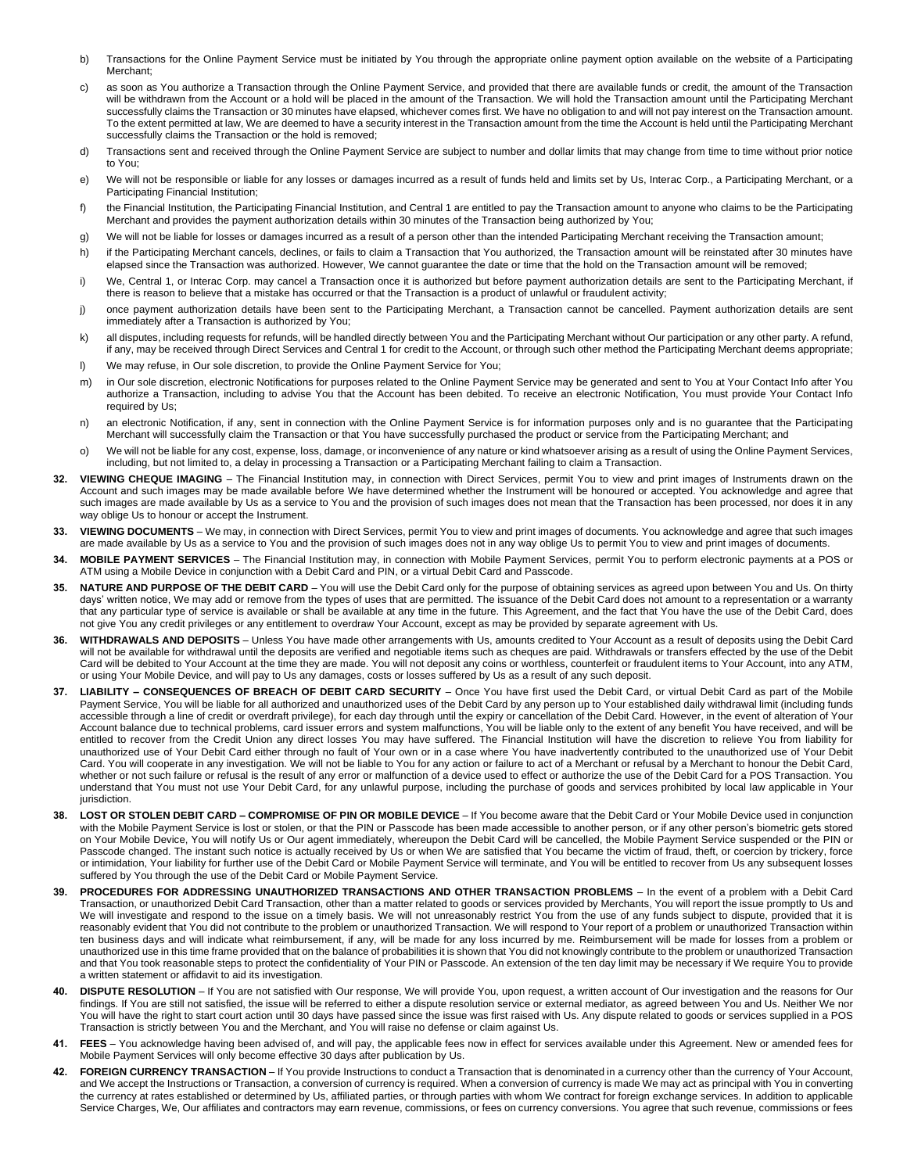- b) Transactions for the Online Payment Service must be initiated by You through the appropriate online payment option available on the website of a Participating Merchant;
- c) as soon as You authorize a Transaction through the Online Payment Service, and provided that there are available funds or credit, the amount of the Transaction will be withdrawn from the Account or a hold will be placed in the amount of the Transaction. We will hold the Transaction amount until the Participating Merchant successfully claims the Transaction or 30 minutes have elapsed, whichever comes first. We have no obligation to and will not pay interest on the Transaction amount. To the extent permitted at law, We are deemed to have a security interest in the Transaction amount from the time the Account is held until the Participating Merchant successfully claims the Transaction or the hold is removed;
- d) Transactions sent and received through the Online Payment Service are subject to number and dollar limits that may change from time to time without prior notice to You;
- e) We will not be responsible or liable for any losses or damages incurred as a result of funds held and limits set by Us, Interac Corp., a Participating Merchant, or a Participating Financial Institution;
- f) the Financial Institution, the Participating Financial Institution, and Central 1 are entitled to pay the Transaction amount to anyone who claims to be the Participating Merchant and provides the payment authorization details within 30 minutes of the Transaction being authorized by You;
- g) We will not be liable for losses or damages incurred as a result of a person other than the intended Participating Merchant receiving the Transaction amount;
- h) if the Participating Merchant cancels, declines, or fails to claim a Transaction that You authorized, the Transaction amount will be reinstated after 30 minutes have elapsed since the Transaction was authorized. However, We cannot guarantee the date or time that the hold on the Transaction amount will be removed;
- i) We, Central 1, or Interac Corp. may cancel a Transaction once it is authorized but before payment authorization details are sent to the Participating Merchant, if there is reason to believe that a mistake has occurred or that the Transaction is a product of unlawful or fraudulent activity;
- j) once payment authorization details have been sent to the Participating Merchant, a Transaction cannot be cancelled. Payment authorization details are sent immediately after a Transaction is authorized by You;
- k) all disputes. including requests for refunds, will be handled directly between You and the Participating Merchant without Our participation or any other party. A refund, if any, may be received through Direct Services and Central 1 for credit to the Account, or through such other method the Participating Merchant deems appropriate;
- l) We may refuse, in Our sole discretion, to provide the Online Payment Service for You;
- m) in Our sole discretion, electronic Notifications for purposes related to the Online Payment Service may be generated and sent to You at Your Contact Info after You authorize a Transaction, including to advise You that the Account has been debited. To receive an electronic Notification, You must provide Your Contact Info required by Us;
- n) an electronic Notification, if any, sent in connection with the Online Payment Service is for information purposes only and is no guarantee that the Participating Merchant will successfully claim the Transaction or that You have successfully purchased the product or service from the Participating Merchant; and
- o) We will not be liable for any cost, expense, loss, damage, or inconvenience of any nature or kind whatsoever arising as a result of using the Online Payment Services, including, but not limited to, a delay in processing a Transaction or a Participating Merchant failing to claim a Transaction.
- **32. VIEWING CHEQUE IMAGING**  The Financial Institution may, in connection with Direct Services, permit You to view and print images of Instruments drawn on the Account and such images may be made available before We have determined whether the Instrument will be honoured or accepted. You acknowledge and agree that such images are made available by Us as a service to You and the provision of such images does not mean that the Transaction has been processed, nor does it in any way oblige Us to honour or accept the Instrument.
- **33. VIEWING DOCUMENTS**  We may, in connection with Direct Services, permit You to view and print images of documents. You acknowledge and agree that such images are made available by Us as a service to You and the provision of such images does not in any way oblige Us to permit You to view and print images of documents.
- **34. MOBILE PAYMENT SERVICES**  The Financial Institution may, in connection with Mobile Payment Services, permit You to perform electronic payments at a POS or ATM using a Mobile Device in conjunction with a Debit Card and PIN, or a virtual Debit Card and Passcode.
- 35. NATURE AND PURPOSE OF THE DEBIT CARD You will use the Debit Card only for the purpose of obtaining services as agreed upon between You and Us. On thirty days' written notice, We may add or remove from the types of uses that are permitted. The issuance of the Debit Card does not amount to a representation or a warranty that any particular type of service is available or shall be available at any time in the future. This Agreement, and the fact that You have the use of the Debit Card, does not give You any credit privileges or any entitlement to overdraw Your Account, except as may be provided by separate agreement with Us.
- **36. WITHDRAWALS AND DEPOSITS**  Unless You have made other arrangements with Us, amounts credited to Your Account as a result of deposits using the Debit Card will not be available for withdrawal until the deposits are verified and negotiable items such as cheques are paid. Withdrawals or transfers effected by the use of the Debit Card will be debited to Your Account at the time they are made. You will not deposit any coins or worthless, counterfeit or fraudulent items to Your Account, into any ATM, or using Your Mobile Device, and will pay to Us any damages, costs or losses suffered by Us as a result of any such deposit.
- **37.** LIABILITY CONSEQUENCES OF BREACH OF DEBIT CARD SECURITY Once You have first used the Debit Card, or virtual Debit Card as part of the Mobile Payment Service, You will be liable for all authorized and unauthorized uses of the Debit Card by any person up to Your established daily withdrawal limit (including funds accessible through a line of credit or overdraft privilege), for each day through until the expiry or cancellation of the Debit Card. However, in the event of alteration of Your Account balance due to technical problems, card issuer errors and system malfunctions, You will be liable only to the extent of any benefit You have received, and will be entitled to recover from the Credit Union any direct losses You may have suffered. The Financial Institution will have the discretion to relieve You from liability for unauthorized use of Your Debit Card either through no fault of Your own or in a case where You have inadvertently contributed to the unauthorized use of Your Debit Card. You will cooperate in any investigation. We will not be liable to You for any action or failure to act of a Merchant or refusal by a Merchant to honour the Debit Card, whether or not such failure or refusal is the result of any error or malfunction of a device used to effect or authorize the use of the Debit Card for a POS Transaction. You understand that You must not use Your Debit Card, for any unlawful purpose, including the purchase of goods and services prohibited by local law applicable in Your jurisdiction.
- **38. LOST OR STOLEN DEBIT CARD – COMPROMISE OF PIN OR MOBILE DEVICE** If You become aware that the Debit Card or Your Mobile Device used in conjunction with the Mobile Payment Service is lost or stolen, or that the PIN or Passcode has been made accessible to another person, or if any other person's biometric gets stored on Your Mobile Device, You will notify Us or Our agent immediately, whereupon the Debit Card will be cancelled, the Mobile Payment Service suspended or the PIN or Passcode changed. The instant such notice is actually received by Us or when We are satisfied that You became the victim of fraud, theft, or coercion by trickery, force or intimidation, Your liability for further use of the Debit Card or Mobile Payment Service will terminate, and You will be entitled to recover from Us any subsequent losses suffered by You through the use of the Debit Card or Mobile Payment Service.
- **39. PROCEDURES FOR ADDRESSING UNAUTHORIZED TRANSACTIONS AND OTHER TRANSACTION PROBLEMS**  In the event of a problem with a Debit Card Transaction, or unauthorized Debit Card Transaction, other than a matter related to goods or services provided by Merchants, You will report the issue promptly to Us and We will investigate and respond to the issue on a timely basis. We will not unreasonably restrict You from the use of any funds subject to dispute, provided that it is reasonably evident that You did not contribute to the problem or unauthorized Transaction. We will respond to Your report of a problem or unauthorized Transaction within ten business days and will indicate what reimbursement, if any, will be made for any loss incurred by me. Reimbursement will be made for losses from a problem or unauthorized use in this time frame provided that on the balance of probabilities it is shown that You did not knowingly contribute to the problem or unauthorized Transaction and that You took reasonable steps to protect the confidentiality of Your PIN or Passcode. An extension of the ten day limit may be necessary if We require You to provide a written statement or affidavit to aid its investigation.
- 40. DISPUTE RESOLUTION If You are not satisfied with Our response, We will provide You, upon request, a written account of Our investigation and the reasons for Our findings. If You are still not satisfied, the issue will be referred to either a dispute resolution service or external mediator, as agreed between You and Us. Neither We nor You will have the right to start court action until 30 days have passed since the issue was first raised with Us. Any dispute related to goods or services supplied in a POS Transaction is strictly between You and the Merchant, and You will raise no defense or claim against Us.
- **41. FEES**  You acknowledge having been advised of, and will pay, the applicable fees now in effect for services available under this Agreement. New or amended fees for Mobile Payment Services will only become effective 30 days after publication by Us.
- **42. FOREIGN CURRENCY TRANSACTION**  If You provide Instructions to conduct a Transaction that is denominated in a currency other than the currency of Your Account, and We accept the Instructions or Transaction, a conversion of currency is required. When a conversion of currency is made We may act as principal with You in converting the currency at rates established or determined by Us, affiliated parties, or through parties with whom We contract for foreign exchange services. In addition to applicable Service Charges, We, Our affiliates and contractors may earn revenue, commissions, or fees on currency conversions. You agree that such revenue, commissions or fees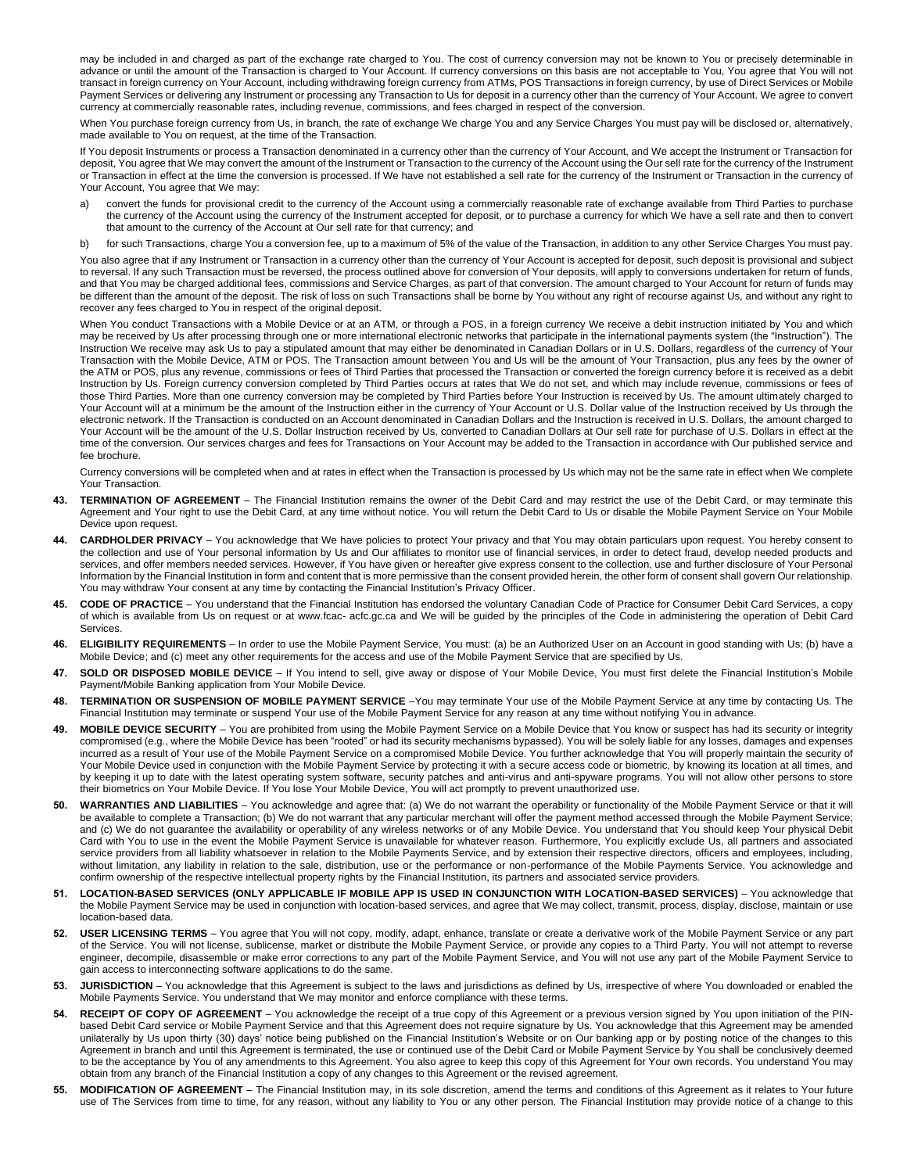may be included in and charged as part of the exchange rate charged to You. The cost of currency conversion may not be known to You or precisely determinable in advance or until the amount of the Transaction is charged to Your Account. If currency conversions on this basis are not acceptable to You, You agree that You will not transact in foreign currency on Your Account, including withdrawing foreign currency from ATMs, POS Transactions in foreign currency, by use of Direct Services or Mobile Payment Services or delivering any Instrument or processing any Transaction to Us for deposit in a currency other than the currency of Your Account. We agree to convert currency at commercially reasonable rates, including revenue, commissions, and fees charged in respect of the conversion.

When You purchase foreign currency from Us, in branch, the rate of exchange We charge You and any Service Charges You must pay will be disclosed or, alternatively, made available to You on request, at the time of the Transaction.

If You deposit Instruments or process a Transaction denominated in a currency other than the currency of Your Account, and We accept the Instrument or Transaction for deposit, You agree that We may convert the amount of the Instrument or Transaction to the currency of the Account using the Our sell rate for the currency of the Instrument or Transaction in effect at the time the conversion is processed. If We have not established a sell rate for the currency of the Instrument or Transaction in the currency of Your Account, You agree that We may:

- a) convert the funds for provisional credit to the currency of the Account using a commercially reasonable rate of exchange available from Third Parties to purchase the currency of the Account using the currency of the Instrument accepted for deposit, or to purchase a currency for which We have a sell rate and then to convert that amount to the currency of the Account at Our sell rate for that currency; and
- b) for such Transactions, charge You a conversion fee, up to a maximum of 5% of the value of the Transaction, in addition to any other Service Charges You must pay.

You also agree that if any Instrument or Transaction in a currency other than the currency of Your Account is accepted for deposit, such deposit is provisional and subject to reversal. If any such Transaction must be reversed, the process outlined above for conversion of Your deposits, will apply to conversions undertaken for return of funds, and that You may be charged additional fees, commissions and Service Charges, as part of that conversion. The amount charged to Your Account for return of funds may be different than the amount of the deposit. The risk of loss on such Transactions shall be borne by You without any right of recourse against Us, and without any right to recover any fees charged to You in respect of the original deposit.

When You conduct Transactions with a Mobile Device or at an ATM, or through a POS, in a foreign currency We receive a debit instruction initiated by You and which may be received by Us after processing through one or more international electronic networks that participate in the international payments system (the "Instruction"). The Instruction We receive may ask Us to pay a stipulated amount that may either be denominated in Canadian Dollars or in U.S. Dollars, regardless of the currency of Your Transaction with the Mobile Device, ATM or POS. The Transaction amount between You and Us will be the amount of Your Transaction, plus any fees by the owner of the ATM or POS, plus any revenue, commissions or fees of Third Parties that processed the Transaction or converted the foreign currency before it is received as a debit Instruction by Us. Foreign currency conversion completed by Third Parties occurs at rates that We do not set, and which may include revenue, commissions or fees of those Third Parties. More than one currency conversion may be completed by Third Parties before Your Instruction is received by Us. The amount ultimately charged to Your Account will at a minimum be the amount of the Instruction either in the currency of Your Account or U.S. Dollar value of the Instruction received by Us through the electronic network. If the Transaction is conducted on an Account denominated in Canadian Dollars and the Instruction is received in U.S. Dollars, the amount charged to Your Account will be the amount of the U.S. Dollar Instruction received by Us, converted to Canadian Dollars at Our sell rate for purchase of U.S. Dollars in effect at the time of the conversion. Our services charges and fees for Transactions on Your Account may be added to the Transaction in accordance with Our published service and fee brochure.

Currency conversions will be completed when and at rates in effect when the Transaction is processed by Us which may not be the same rate in effect when We complete Your Transaction.

- 43. **TERMINATION OF AGREEMENT** The Financial Institution remains the owner of the Debit Card and may restrict the use of the Debit Card, or may terminate this Agreement and Your right to use the Debit Card, at any time without notice. You will return the Debit Card to Us or disable the Mobile Payment Service on Your Mobile Device upon request.
- **44.** CARDHOLDER PRIVACY You acknowledge that We have policies to protect Your privacy and that You may obtain particulars upon request. You hereby consent to the collection and use of Your personal information by Us and Our affiliates to monitor use of financial services, in order to detect fraud, develop needed products and services, and offer members needed services. However, if You have given or hereafter give express consent to the collection, use and further disclosure of Your Personal Information by the Financial Institution in form and content that is more permissive than the consent provided herein, the other form of consent shall govern Our relationship. You may withdraw Your consent at any time by contacting the Financial Institution's Privacy Officer.
- **45. CODE OF PRACTICE**  You understand that the Financial Institution has endorsed the voluntary Canadian Code of Practice for Consumer Debit Card Services, a copy of which is available from Us on request or at www.fcac- acfc.gc.ca and We will be guided by the principles of the Code in administering the operation of Debit Card Services.
- **46. ELIGIBILITY REQUIREMENTS**  In order to use the Mobile Payment Service, You must: (a) be an Authorized User on an Account in good standing with Us; (b) have a Mobile Device; and (c) meet any other requirements for the access and use of the Mobile Payment Service that are specified by Us.
- **47. SOLD OR DISPOSED MOBILE DEVICE** If You intend to sell, give away or dispose of Your Mobile Device, You must first delete the Financial Institution's Mobile Payment/Mobile Banking application from Your Mobile Device.
- **48. TERMINATION OR SUSPENSION OF MOBILE PAYMENT SERVICE** –You may terminate Your use of the Mobile Payment Service at any time by contacting Us. The Financial Institution may terminate or suspend Your use of the Mobile Payment Service for any reason at any time without notifying You in advance.
- 49. MOBILE DEVICE SECURITY You are prohibited from using the Mobile Payment Service on a Mobile Device that You know or suspect has had its security or integrity compromised (e.g., where the Mobile Device has been "rooted" or had its security mechanisms bypassed). You will be solely liable for any losses, damages and expenses incurred as a result of Your use of the Mobile Payment Service on a compromised Mobile Device. You further acknowledge that You will properly maintain the security of Your Mobile Device used in conjunction with the Mobile Payment Service by protecting it with a secure access code or biometric, by knowing its location at all times, and by keeping it up to date with the latest operating system software, security patches and anti-virus and anti-spyware programs. You will not allow other persons to store their biometrics on Your Mobile Device. If You lose Your Mobile Device, You will act promptly to prevent unauthorized use.
- **50. WARRANTIES AND LIABILITIES**  You acknowledge and agree that: (a) We do not warrant the operability or functionality of the Mobile Payment Service or that it will be available to complete a Transaction; (b) We do not warrant that any particular merchant will offer the payment method accessed through the Mobile Payment Service; and (c) We do not guarantee the availability or operability of any wireless networks or of any Mobile Device. You understand that You should keep Your physical Debit Card with You to use in the event the Mobile Payment Service is unavailable for whatever reason. Furthermore, You explicitly exclude Us, all partners and associated service providers from all liability whatsoever in relation to the Mobile Payments Service, and by extension their respective directors, officers and employees, including, without limitation, any liability in relation to the sale, distribution, use or the performance or non-performance of the Mobile Payments Service. You acknowledge and confirm ownership of the respective intellectual property rights by the Financial Institution, its partners and associated service providers.
- **51. LOCATION-BASED SERVICES (ONLY APPLICABLE IF MOBILE APP IS USED IN CONJUNCTION WITH LOCATION-BASED SERVICES)**  You acknowledge that the Mobile Payment Service may be used in conjunction with location-based services, and agree that We may collect, transmit, process, display, disclose, maintain or use location-based data.
- **52. USER LICENSING TERMS**  You agree that You will not copy, modify, adapt, enhance, translate or create a derivative work of the Mobile Payment Service or any part of the Service. You will not license, sublicense, market or distribute the Mobile Payment Service, or provide any copies to a Third Party. You will not attempt to reverse engineer, decompile, disassemble or make error corrections to any part of the Mobile Payment Service, and You will not use any part of the Mobile Payment Service to gain access to interconnecting software applications to do the same.
- **53. JURISDICTION**  You acknowledge that this Agreement is subject to the laws and jurisdictions as defined by Us, irrespective of where You downloaded or enabled the Mobile Payments Service. You understand that We may monitor and enforce compliance with these terms.
- **54.** RECEIPT OF COPY OF AGREEMENT You acknowledge the receipt of a true copy of this Agreement or a previous version signed by You upon initiation of the PINhased Debit Card service or Mobile Payment Service and that this Agreement does not require signature by Us. You acknowledge that this Agreement may be amended unilaterally by Us upon thirty (30) days' notice being published on the Financial Institution's Website or on Our banking app or by posting notice of the changes to this Agreement in branch and until this Agreement is terminated, the use or continued use of the Debit Card or Mobile Payment Service by You shall be conclusively deemed to be the acceptance by You of any amendments to this Agreement. You also agree to keep this copy of this Agreement for Your own records. You understand You may obtain from any branch of the Financial Institution a copy of any changes to this Agreement or the revised agreement.
- **55. MODIFICATION OF AGREEMENT**  The Financial Institution may, in its sole discretion, amend the terms and conditions of this Agreement as it relates to Your future use of The Services from time to time, for any reason, without any liability to You or any other person. The Financial Institution may provide notice of a change to this